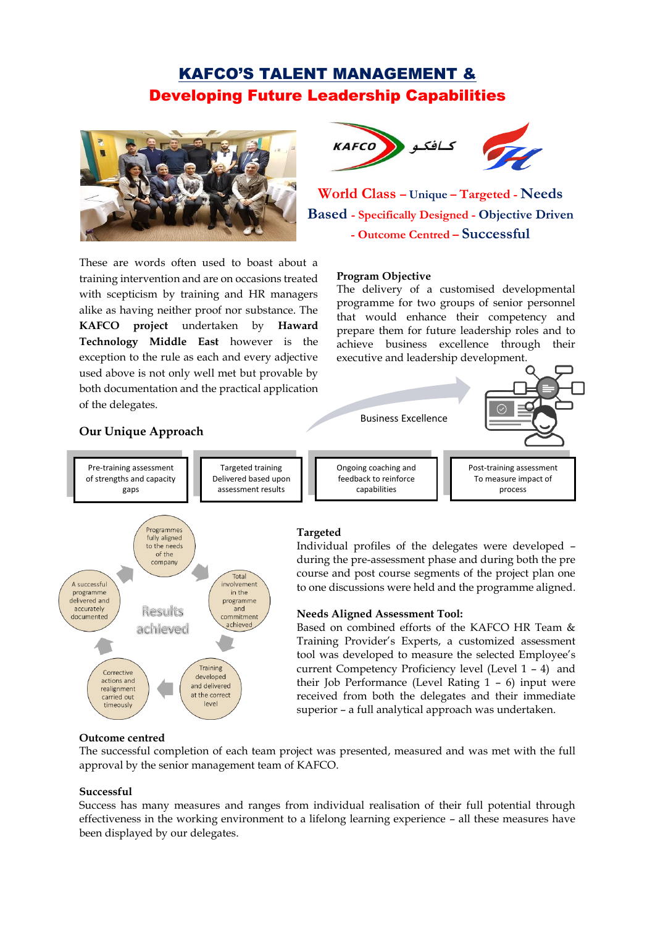# KAFCO'S TALENT MANAGEMENT & Developing Future Leadership Capabilities



These are words often used to boast about a training intervention and are on occasions treated with scepticism by training and HR managers alike as having neither proof nor substance. The **KAFCO project** undertaken by **Haward Technology Middle East** however is the exception to the rule as each and every adjective used above is not only well met but provable by both documentation and the practical application of the delegates.



**World Class – Unique – Targeted - Needs Based - Specifically Designed - Objective Driven - Outcome Centred – Successful**

#### **Program Objective**

Business Excellence

The delivery of a customised developmental programme for two groups of senior personnel that would enhance their competency and prepare them for future leadership roles and to achieve business excellence through their executive and leadership development.

> Post-training assessment To measure impact of process





# **Targeted**

Individual profiles of the delegates were developed – during the pre-assessment phase and during both the pre course and post course segments of the project plan one to one discussions were held and the programme aligned.

#### **Needs Aligned Assessment Tool:**

Ongoing coaching and feedback to reinforce capabilities

Based on combined efforts of the KAFCO HR Team & Training Provider's Experts, a customized assessment tool was developed to measure the selected Employee's current Competency Proficiency level (Level 1 – 4) and their Job Performance (Level Rating 1 – 6) input were received from both the delegates and their immediate superior – a full analytical approach was undertaken.

#### **Outcome centred**

The successful completion of each team project was presented, measured and was met with the full approval by the senior management team of KAFCO.

#### **Successful**

Success has many measures and ranges from individual realisation of their full potential through effectiveness in the working environment to a lifelong learning experience – all these measures have been displayed by our delegates.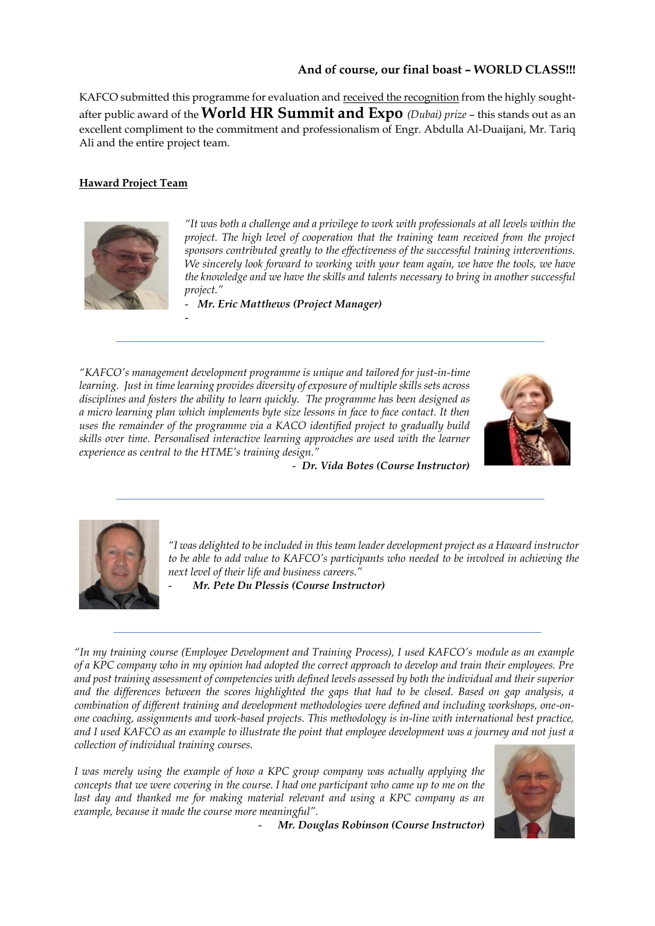# **And of course, our final boast – WORLD CLASS!!!**

KAFCO submitted this programme for evaluation and received the recognition from the highly soughtafter public award of the **World HR Summit and Expo** *(Dubai) prize* – this stands out as an excellent compliment to the commitment and professionalism of Engr. Abdulla Al-Duaijani, Mr. Tariq Ali and the entire project team.

# **Haward Project Team**



-

*"It was both a challenge and a privilege to work with professionals at all levels within the project. The high level of cooperation that the training team received from the project sponsors contributed greatly to the effectiveness of the successful training interventions. We sincerely look forward to working with your team again, we have the tools, we have the knowledge and we have the skills and talents necessary to bring in another successful project."*

- *Mr. Eric Matthews (Project Manager)* 

*"KAFCO's management development programme is unique and tailored for just-in-time learning. Just in time learning provides diversity of exposure of multiple skills sets across disciplines and fosters the ability to learn quickly. The programme has been designed as a micro learning plan which implements byte size lessons in face to face contact. It then uses the remainder of the programme via a KACO identified project to gradually build skills over time. Personalised interactive learning approaches are used with the learner experience as central to the HTME's training design."*



- *Dr. Vida Botes (Course Instructor)* 



*"I was delighted to be included in this team leader development project as a Haward instructor to be able to add value to KAFCO's participants who needed to be involved in achieving the next level of their life and business careers."*

- *Mr. Pete Du Plessis (Course Instructor)*

*"In my training course (Employee Development and Training Process), I used KAFCO's module as an example of a KPC company who in my opinion had adopted the correct approach to develop and train their employees. Pre and post training assessment of competencies with defined levels assessed by both the individual and their superior and the differences between the scores highlighted the gaps that had to be closed. Based on gap analysis, a combination of different training and development methodologies were defined and including workshops, one-onone coaching, assignments and work-based projects. This methodology is in-line with international best practice, and I used KAFCO as an example to illustrate the point that employee development was a journey and not just a collection of individual training courses.*

*I was merely using the example of how a KPC group company was actually applying the concepts that we were covering in the course. I had one participant who came up to me on the*  last day and thanked me for making material relevant and using a KPC company as an *example, because it made the course more meaningful".*



- *Mr. Douglas Robinson (Course Instructor)*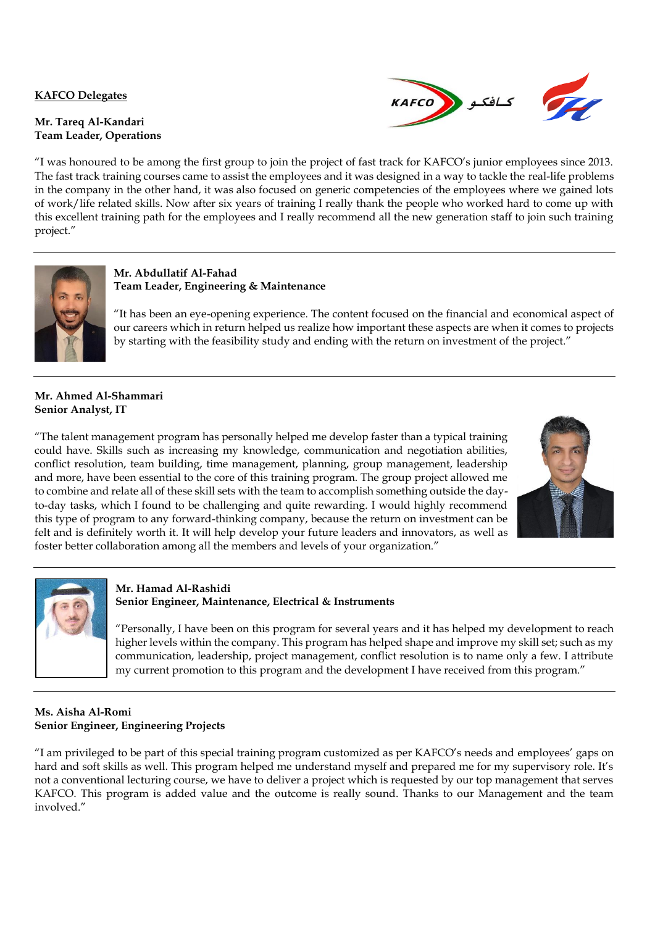### **KAFCO Delegates**

#### **Mr. Tareq Al-Kandari Team Leader, Operations**



"I was honoured to be among the first group to join the project of fast track for KAFCO's junior employees since 2013. The fast track training courses came to assist the employees and it was designed in a way to tackle the real-life problems in the company in the other hand, it was also focused on generic competencies of the employees where we gained lots of work/life related skills. Now after six years of training I really thank the people who worked hard to come up with this excellent training path for the employees and I really recommend all the new generation staff to join such training project."



## **Mr. Abdullatif Al-Fahad Team Leader, Engineering & Maintenance**

"It has been an eye-opening experience. The content focused on the financial and economical aspect of our careers which in return helped us realize how important these aspects are when it comes to projects by starting with the feasibility study and ending with the return on investment of the project."

## **Mr. Ahmed Al-Shammari Senior Analyst, IT**

"The talent management program has personally helped me develop faster than a typical training could have. Skills such as increasing my knowledge, communication and negotiation abilities, conflict resolution, team building, time management, planning, group management, leadership and more, have been essential to the core of this training program. The group project allowed me to combine and relate all of these skill sets with the team to accomplish something outside the dayto-day tasks, which I found to be challenging and quite rewarding. I would highly recommend this type of program to any forward-thinking company, because the return on investment can be felt and is definitely worth it. It will help develop your future leaders and innovators, as well as foster better collaboration among all the members and levels of your organization."





# **Mr. Hamad Al-Rashidi Senior Engineer, Maintenance, Electrical & Instruments**

"Personally, I have been on this program for several years and it has helped my development to reach higher levels within the company. This program has helped shape and improve my skill set; such as my communication, leadership, project management, conflict resolution is to name only a few. I attribute my current promotion to this program and the development I have received from this program."

# **Ms. Aisha Al-Romi Senior Engineer, Engineering Projects**

"I am privileged to be part of this special training program customized as per KAFCO's needs and employees' gaps on hard and soft skills as well. This program helped me understand myself and prepared me for my supervisory role. It's not a conventional lecturing course, we have to deliver a project which is requested by our top management that serves KAFCO. This program is added value and the outcome is really sound. Thanks to our Management and the team involved."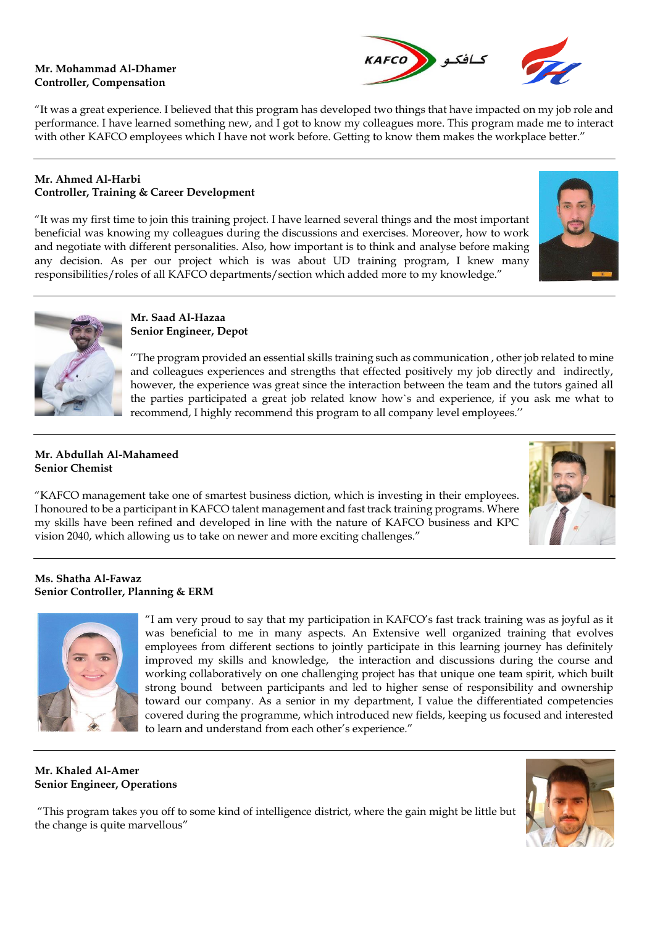#### **Mr. Mohammad Al-Dhamer Controller, Compensation**



"It was a great experience. I believed that this program has developed two things that have impacted on my job role and performance. I have learned something new, and I got to know my colleagues more. This program made me to interact with other KAFCO employees which I have not work before. Getting to know them makes the workplace better."

## **Mr. Ahmed Al-Harbi Controller, Training & Career Development**

"It was my first time to join this training project. I have learned several things and the most important beneficial was knowing my colleagues during the discussions and exercises. Moreover, how to work and negotiate with different personalities. Also, how important is to think and analyse before making any decision. As per our project which is was about UD training program, I knew many responsibilities/roles of all KAFCO departments/section which added more to my knowledge."





#### **Mr. Saad Al-Hazaa Senior Engineer, Depot**

''The program provided an essential skills training such as communication , other job related to mine and colleagues experiences and strengths that effected positively my job directly and indirectly, however, the experience was great since the interaction between the team and the tutors gained all the parties participated a great job related know how`s and experience, if you ask me what to recommend, I highly recommend this program to all company level employees.''

## **Mr. Abdullah Al-Mahameed Senior Chemist**

"KAFCO management take one of smartest business diction, which is investing in their employees. I honoured to be a participant in KAFCO talent management and fast track training programs. Where my skills have been refined and developed in line with the nature of KAFCO business and KPC vision 2040, which allowing us to take on newer and more exciting challenges."



### **Ms. Shatha Al-Fawaz Senior Controller, Planning & ERM**



"I am very proud to say that my participation in KAFCO's fast track training was as joyful as it was beneficial to me in many aspects. An Extensive well organized training that evolves employees from different sections to jointly participate in this learning journey has definitely improved my skills and knowledge, the interaction and discussions during the course and working collaboratively on one challenging project has that unique one team spirit, which built strong bound between participants and led to higher sense of responsibility and ownership toward our company. As a senior in my department, I value the differentiated competencies covered during the programme, which introduced new fields, keeping us focused and interested to learn and understand from each other's experience."

### **Mr. Khaled Al-Amer Senior Engineer, Operations**

"This program takes you off to some kind of intelligence district, where the gain might be little but the change is quite marvellous"